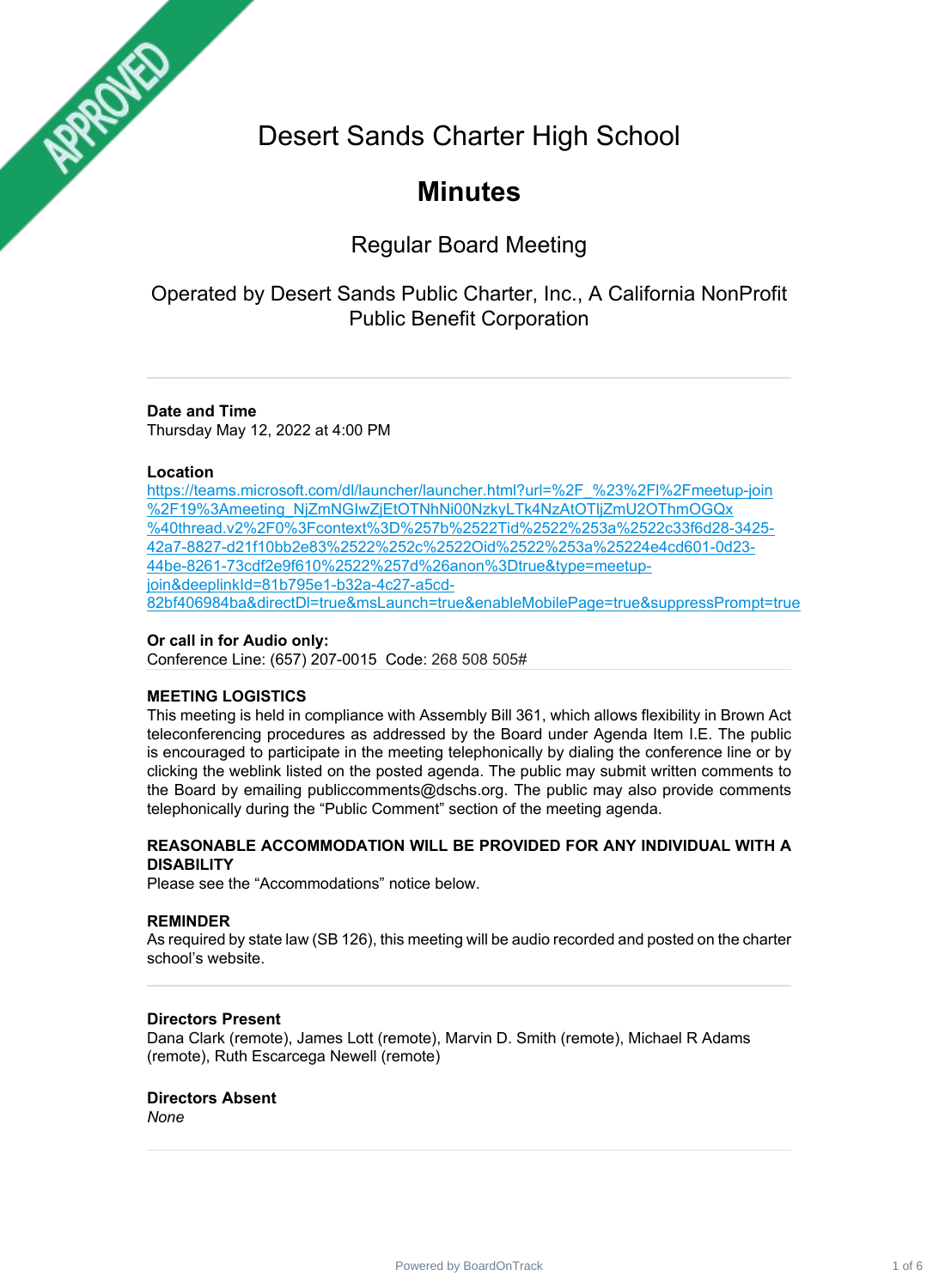Desert Sands Charter High School

# **Minutes**

## Regular Board Meeting

## Operated by Desert Sands Public Charter, Inc., A California NonProfit Public Benefit Corporation

## **Date and Time**

Thursday May 12, 2022 at 4:00 PM

## **Location**

ARROTES

[https://teams.microsoft.com/dl/launcher/launcher.html?url=%2F\\_%23%2Fl%2Fmeetup-join](https://teams.microsoft.com/dl/launcher/launcher.html?url=%2F_%23%2Fl%2Fmeetup-join%2F19%3Ameeting_NjZmNGIwZjEtOTNhNi00NzkyLTk4NzAtOTljZmU2OThmOGQx%40thread.v2%2F0%3Fcontext%3D%257b%2522Tid%2522%253a%2522c33f6d28-3425-42a7-8827-d21f10bb2e83%2522%252c%2522Oid%2522%253a%25224e4cd601-0d23-44be-8261-73cdf2e9f610%2522%257d%26anon%3Dtrue&type=meetup-join&deeplinkId=81b795e1-b32a-4c27-a5cd-82bf406984ba&directDl=true&msLaunch=true&enableMobilePage=true&suppressPrompt=true) %2F19%3Ameeting\_NjZmNGIwZjEtOTNhNi00NzkyLTk4NzAtOTljZmU2OThmOGQx [%40thread.v2%2F0%3Fcontext%3D%257b%2522Tid%2522%253a%2522c33f6d28-3425-](https://teams.microsoft.com/dl/launcher/launcher.html?url=%2F_%23%2Fl%2Fmeetup-join%2F19%3Ameeting_NjZmNGIwZjEtOTNhNi00NzkyLTk4NzAtOTljZmU2OThmOGQx%40thread.v2%2F0%3Fcontext%3D%257b%2522Tid%2522%253a%2522c33f6d28-3425-42a7-8827-d21f10bb2e83%2522%252c%2522Oid%2522%253a%25224e4cd601-0d23-44be-8261-73cdf2e9f610%2522%257d%26anon%3Dtrue&type=meetup-join&deeplinkId=81b795e1-b32a-4c27-a5cd-82bf406984ba&directDl=true&msLaunch=true&enableMobilePage=true&suppressPrompt=true) 42a7-8827-d21f10bb2e83%2522%252c%2522Oid%2522%253a%25224e4cd601-0d23- [44be-8261-73cdf2e9f610%2522%257d%26anon%3Dtrue&type=meetup](https://teams.microsoft.com/dl/launcher/launcher.html?url=%2F_%23%2Fl%2Fmeetup-join%2F19%3Ameeting_NjZmNGIwZjEtOTNhNi00NzkyLTk4NzAtOTljZmU2OThmOGQx%40thread.v2%2F0%3Fcontext%3D%257b%2522Tid%2522%253a%2522c33f6d28-3425-42a7-8827-d21f10bb2e83%2522%252c%2522Oid%2522%253a%25224e4cd601-0d23-44be-8261-73cdf2e9f610%2522%257d%26anon%3Dtrue&type=meetup-join&deeplinkId=81b795e1-b32a-4c27-a5cd-82bf406984ba&directDl=true&msLaunch=true&enableMobilePage=true&suppressPrompt=true)join&deeplinkId=81b795e1-b32a-4c27-a5cd-[82bf406984ba&directDl=true&msLaunch=true&enableMobilePage=true&suppressPrompt=true](https://teams.microsoft.com/dl/launcher/launcher.html?url=%2F_%23%2Fl%2Fmeetup-join%2F19%3Ameeting_NjZmNGIwZjEtOTNhNi00NzkyLTk4NzAtOTljZmU2OThmOGQx%40thread.v2%2F0%3Fcontext%3D%257b%2522Tid%2522%253a%2522c33f6d28-3425-42a7-8827-d21f10bb2e83%2522%252c%2522Oid%2522%253a%25224e4cd601-0d23-44be-8261-73cdf2e9f610%2522%257d%26anon%3Dtrue&type=meetup-join&deeplinkId=81b795e1-b32a-4c27-a5cd-82bf406984ba&directDl=true&msLaunch=true&enableMobilePage=true&suppressPrompt=true)

## **Or call in for Audio only:**

Conference Line: (657) 207-0015 Code: 268 508 505#

## **MEETING LOGISTICS**

This meeting is held in compliance with Assembly Bill 361, which allows flexibility in Brown Act teleconferencing procedures as addressed by the Board under Agenda Item I.E. The public is encouraged to participate in the meeting telephonically by dialing the conference line or by clicking the weblink listed on the posted agenda. The public may submit written comments to the Board by emailing publiccomments@dschs.org. The public may also provide comments telephonically during the "Public Comment" section of the meeting agenda.

## **REASONABLE ACCOMMODATION WILL BE PROVIDED FOR ANY INDIVIDUAL WITH A DISABILITY**

Please see the "Accommodations" notice below.

## **REMINDER**

As required by state law (SB 126), this meeting will be audio recorded and posted on the charter school's website.

## **Directors Present**

Dana Clark (remote), James Lott (remote), Marvin D. Smith (remote), Michael R Adams (remote), Ruth Escarcega Newell (remote)

## **Directors Absent**

*None*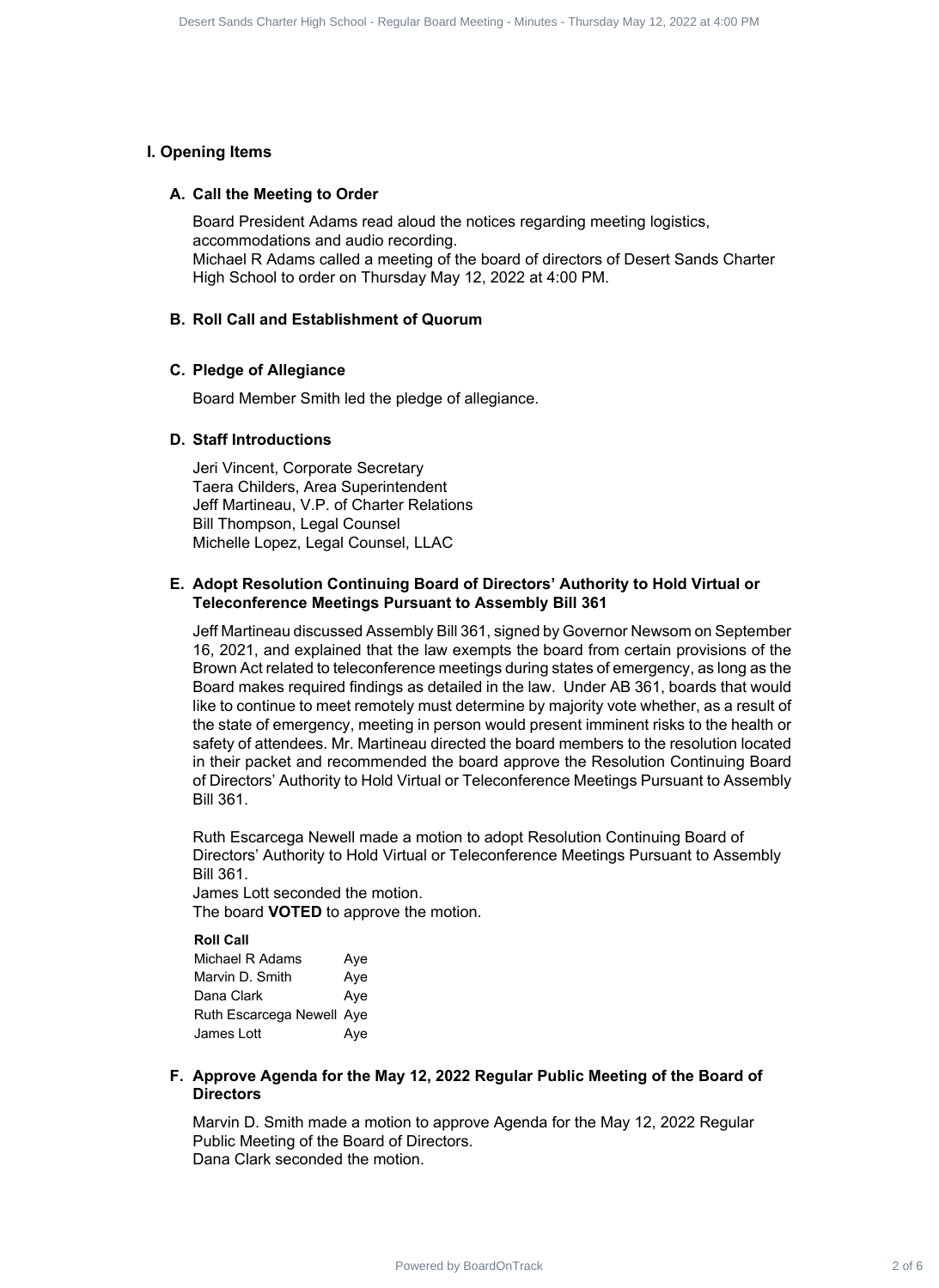## **I. Opening Items**

## **A. Call the Meeting to Order**

Board President Adams read aloud the notices regarding meeting logistics, accommodations and audio recording. Michael R Adams called a meeting of the board of directors of Desert Sands Charter High School to order on Thursday May 12, 2022 at 4:00 PM.

## **B. Roll Call and Establishment of Quorum**

## **C. Pledge of Allegiance**

Board Member Smith led the pledge of allegiance.

## **D. Staff Introductions**

Jeri Vincent, Corporate Secretary Taera Childers, Area Superintendent Jeff Martineau, V.P. of Charter Relations Bill Thompson, Legal Counsel Michelle Lopez, Legal Counsel, LLAC

## **Adopt Resolution Continuing Board of Directors' Authority to Hold Virtual or E. Teleconference Meetings Pursuant to Assembly Bill 361**

Jeff Martineau discussed Assembly Bill 361, signed by Governor Newsom on September 16, 2021, and explained that the law exempts the board from certain provisions of the Brown Act related to teleconference meetings during states of emergency, as long as the Board makes required findings as detailed in the law. Under AB 361, boards that would like to continue to meet remotely must determine by majority vote whether, as a result of the state of emergency, meeting in person would present imminent risks to the health or safety of attendees. Mr. Martineau directed the board members to the resolution located in their packet and recommended the board approve the Resolution Continuing Board of Directors' Authority to Hold Virtual or Teleconference Meetings Pursuant to Assembly Bill 361. Sourcistance Charter of Board Charter of Board Charter of Board 2 of 6 Desert Sands Charter Sands Charter Sands Charter Sands Charter Sands Charter Sands Charter Meeting to Desert Sands Charter Meeting Charter Sands Charte

Ruth Escarcega Newell made a motion to adopt Resolution Continuing Board of Directors' Authority to Hold Virtual or Teleconference Meetings Pursuant to Assembly Bill 361.

James Lott seconded the motion. The board **VOTED** to approve the motion.

#### **Roll Call**

| Aye                       |
|---------------------------|
| Aye                       |
| Aye                       |
| Ruth Escarcega Newell Aye |
| Aye                       |
|                           |

## **Approve Agenda for the May 12, 2022 Regular Public Meeting of the Board of F. Directors**

Marvin D. Smith made a motion to approve Agenda for the May 12, 2022 Regular Public Meeting of the Board of Directors. Dana Clark seconded the motion.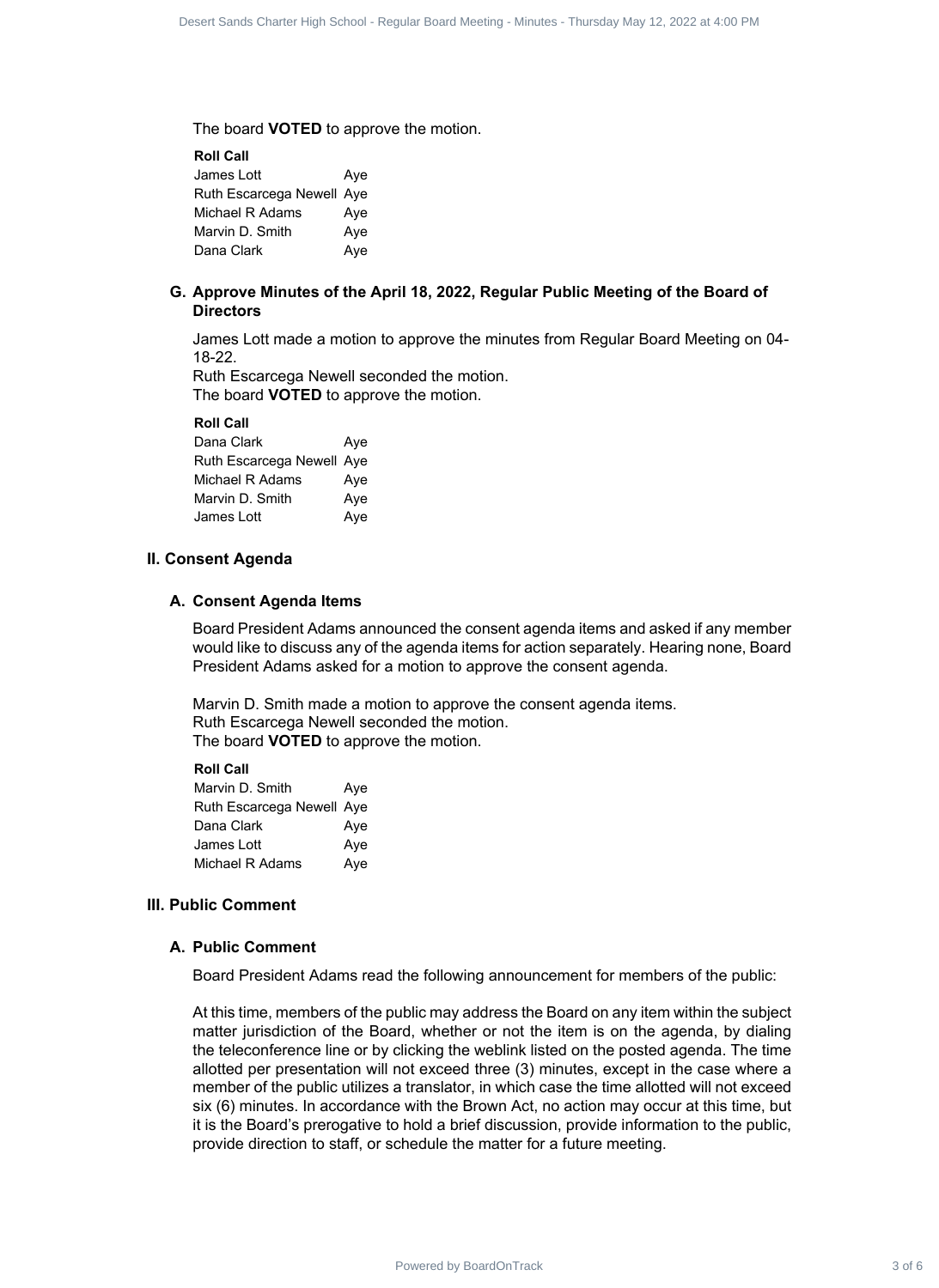The board **VOTED** to approve the motion.

**Roll Call** James Lott **Aye** Ruth Escarcega Newell Aye Michael R Adams Aye Marvin D. Smith Ave Dana Clark Aye

## **Approve Minutes of the April 18, 2022, Regular Public Meeting of the Board of G. Directors**

James Lott made a motion to approve the minutes from Regular Board Meeting on 04- 18-22.

Ruth Escarcega Newell seconded the motion. The board **VOTED** to approve the motion.

**Roll Call**

| Dana Clark                | Aye |
|---------------------------|-----|
| Ruth Escarcega Newell Aye |     |
| Michael R Adams           | Ave |
| Marvin D. Smith           | Aye |
| James Lott                | Aye |

## **II. Consent Agenda**

## **A. Consent Agenda Items**

Board President Adams announced the consent agenda items and asked if any member would like to discuss any of the agenda items for action separately. Hearing none, Board President Adams asked for a motion to approve the consent agenda.

Marvin D. Smith made a motion to approve the consent agenda items. Ruth Escarcega Newell seconded the motion. The board **VOTED** to approve the motion.

#### **Roll Call**

| Marvin D. Smith           | Aye |
|---------------------------|-----|
| Ruth Escarcega Newell Aye |     |
| Dana Clark                | Aye |
| James Lott                | Aye |
| Michael R Adams           | Aye |

## **III. Public Comment**

## **A. Public Comment**

Board President Adams read the following announcement for members of the public:

At this time, members of the public may address the Board on any item within the subject matter jurisdiction of the Board, whether or not the item is on the agenda, by dialing the teleconference line or by clicking the weblink listed on the posted agenda. The time allotted per presentation will not exceed three (3) minutes, except in the case where a member of the public utilizes a translator, in which case the time allotted will not exceed six (6) minutes. In accordance with the Brown Act, no action may occur at this time, but it is the Board's prerogative to hold a brief discussion, provide information to the public, provide direction to staff, or schedule the matter for a future meeting. Source Sando Crease High Sched - Impleting the subtractions - The share of 6 Desert Sands Charter Sands Charter Sands Charter Sands Charter Sands Charter Charter Sands Charter Sands Charter Sands Charter Sands Charter Sand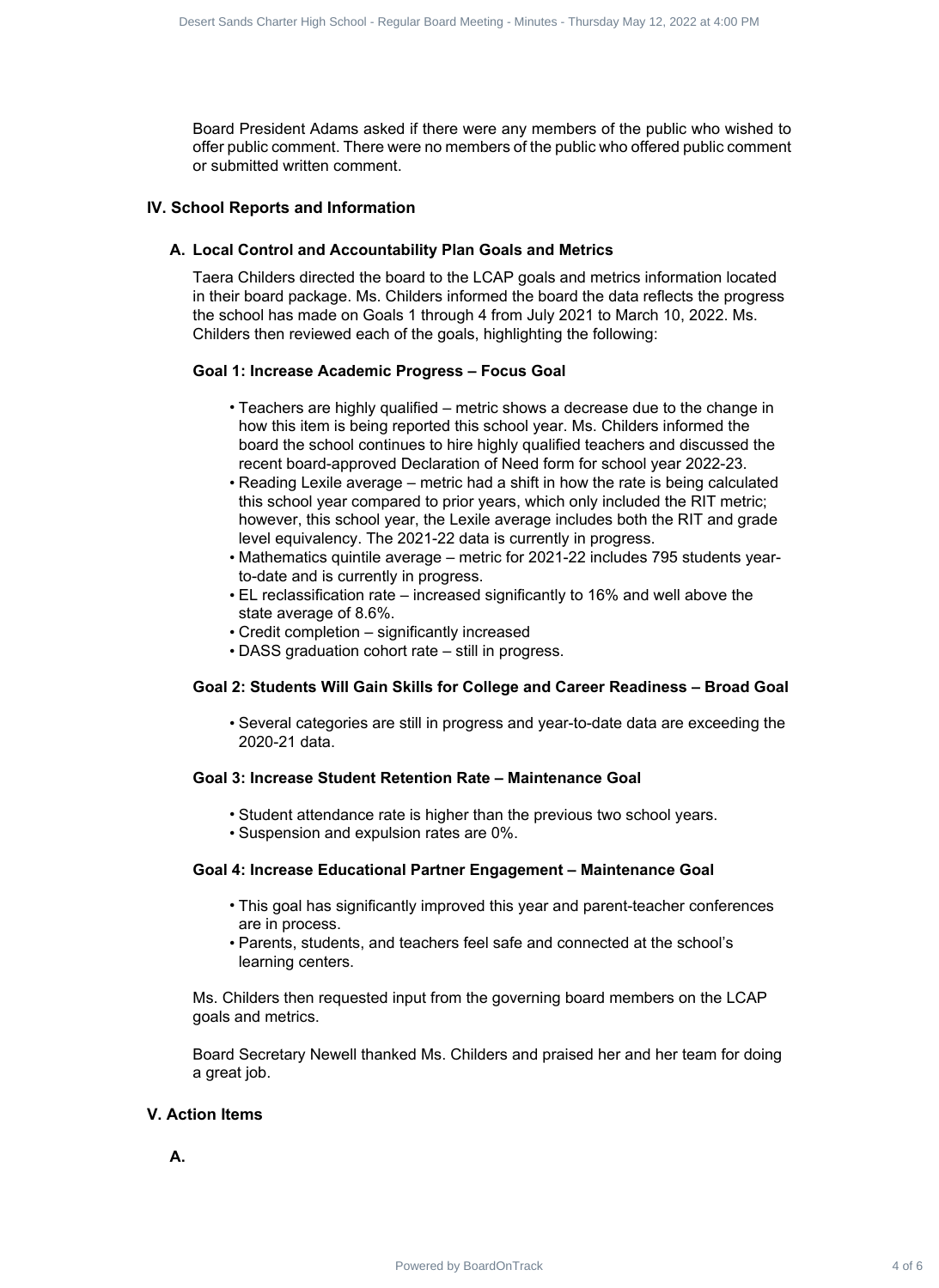Board President Adams asked if there were any members of the public who wished to offer public comment. There were no members of the public who offered public comment or submitted written comment.

## **IV. School Reports and Information**

## **A. Local Control and Accountability Plan Goals and Metrics**

Taera Childers directed the board to the LCAP goals and metrics information located in their board package. Ms. Childers informed the board the data reflects the progress the school has made on Goals 1 through 4 from July 2021 to March 10, 2022. Ms. Childers then reviewed each of the goals, highlighting the following: Sourcistant Characteristic hegatic frequencies of the public valid of 8 Oeler 2022 at 4:00 PM (Figure 2022) at the Desert Sands Charter Sands Charter High School - Regular Board Meeting - The Company of the public valid o

## **Goal 1: Increase Academic Progress – Focus Goal**

- Teachers are highly qualified metric shows a decrease due to the change in how this item is being reported this school year. Ms. Childers informed the board the school continues to hire highly qualified teachers and discussed the recent board-approved Declaration of Need form for school year 2022-23.
- Reading Lexile average metric had a shift in how the rate is being calculated this school year compared to prior years, which only included the RIT metric; however, this school year, the Lexile average includes both the RIT and grade level equivalency. The 2021-22 data is currently in progress.
- Mathematics quintile average metric for 2021-22 includes 795 students yearto-date and is currently in progress.
- EL reclassification rate increased significantly to 16% and well above the state average of 8.6%.
- Credit completion significantly increased
- DASS graduation cohort rate still in progress.

## **Goal 2: Students Will Gain Skills for College and Career Readiness – Broad Goal**

• Several categories are still in progress and year-to-date data are exceeding the 2020-21 data.

## **Goal 3: Increase Student Retention Rate – Maintenance Goal**

- Student attendance rate is higher than the previous two school years.
- Suspension and expulsion rates are 0%.

## **Goal 4: Increase Educational Partner Engagement – Maintenance Goal**

- This goal has significantly improved this year and parent-teacher conferences are in process.
- Parents, students, and teachers feel safe and connected at the school's learning centers.

Ms. Childers then requested input from the governing board members on the LCAP goals and metrics.

Board Secretary Newell thanked Ms. Childers and praised her and her team for doing a great job.

## **V. Action Items**

**A.**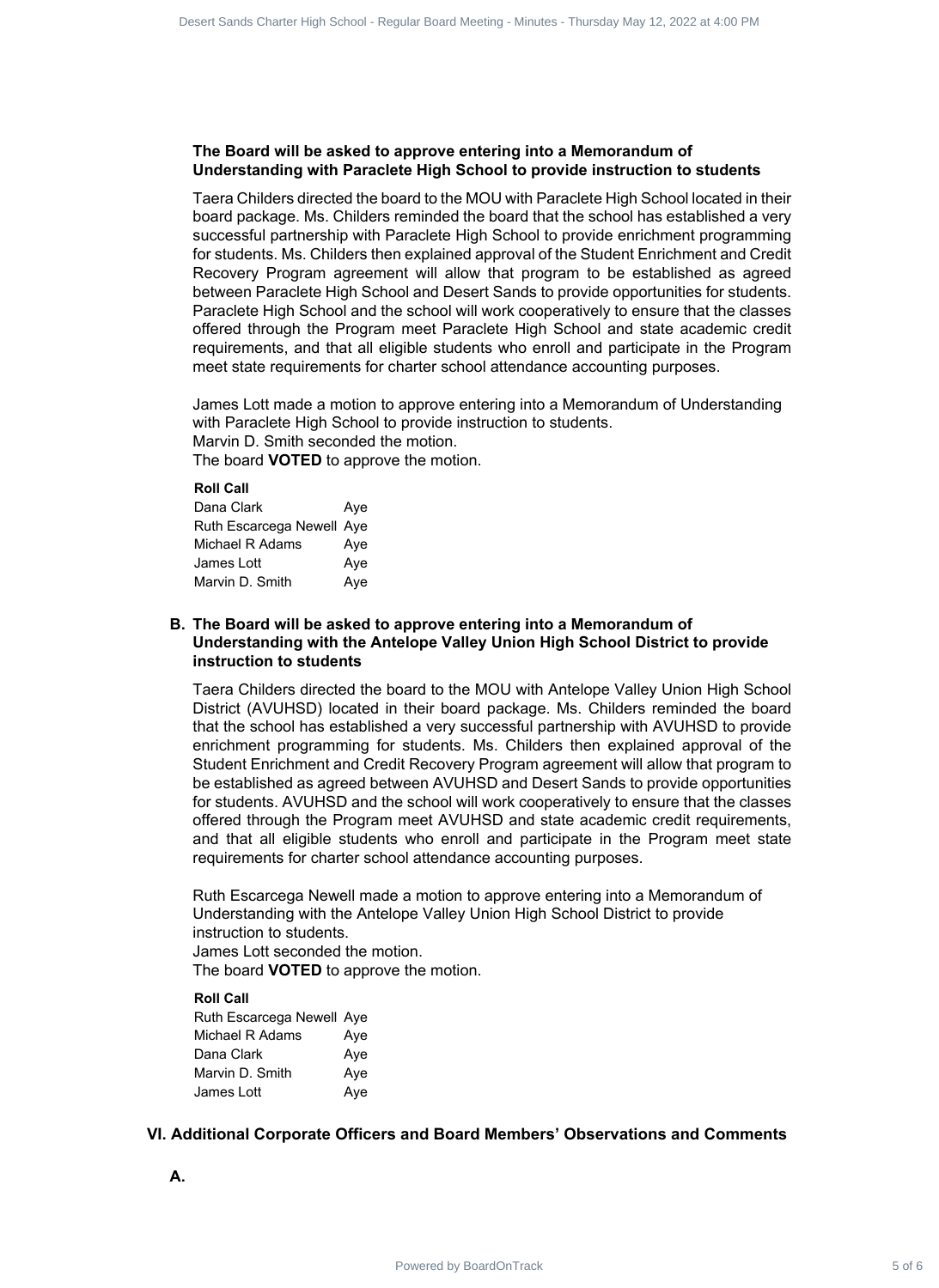## **The Board will be asked to approve entering into a Memorandum of Understanding with Paraclete High School to provide instruction to students**

Taera Childers directed the board to the MOU with Paraclete High School located in their board package. Ms. Childers reminded the board that the school has established a very successful partnership with Paraclete High School to provide enrichment programming for students. Ms. Childers then explained approval of the Student Enrichment and Credit Recovery Program agreement will allow that program to be established as agreed between Paraclete High School and Desert Sands to provide opportunities for students. Paraclete High School and the school will work cooperatively to ensure that the classes offered through the Program meet Paraclete High School and state academic credit requirements, and that all eligible students who enroll and participate in the Program meet state requirements for charter school attendance accounting purposes.

James Lott made a motion to approve entering into a Memorandum of Understanding with Paraclete High School to provide instruction to students. Marvin D. Smith seconded the motion.

The board **VOTED** to approve the motion.

## **Roll Call**

| Dana Clark                | Aye |
|---------------------------|-----|
| Ruth Escarcega Newell Aye |     |
| Michael R Adams           | Aye |
| James Lott                | Aye |
| Marvin D. Smith           | Aye |

## **The Board will be asked to approve entering into a Memorandum of B. Understanding with the Antelope Valley Union High School District to provide instruction to students**

Taera Childers directed the board to the MOU with Antelope Valley Union High School District (AVUHSD) located in their board package. Ms. Childers reminded the board that the school has established a very successful partnership with AVUHSD to provide enrichment programming for students. Ms. Childers then explained approval of the Student Enrichment and Credit Recovery Program agreement will allow that program to be established as agreed between AVUHSD and Desert Sands to provide opportunities for students. AVUHSD and the school will work cooperatively to ensure that the classes offered through the Program meet AVUHSD and state academic credit requirements, and that all eligible students who enroll and participate in the Program meet state requirements for charter school attendance accounting purposes. Sourcisted: Contract 6 of 6 Desert Sands Charter Sands Charter Sands Charter Sands Charter Sands Charter Sands Charter Sands Charter Sands Charter Sands Charter Sands Charter Sands Charter Sands Charter Sands Charter Sand

Ruth Escarcega Newell made a motion to approve entering into a Memorandum of Understanding with the Antelope Valley Union High School District to provide instruction to students. James Lott seconded the motion.

The board **VOTED** to approve the motion.

## **Roll Call**

Ruth Escarcega Newell Aye Michael R Adams Aye Dana Clark **Aye** Marvin D. Smith Aye James Lott **Aye** 

## **VI. Additional Corporate Officers and Board Members' Observations and Comments**